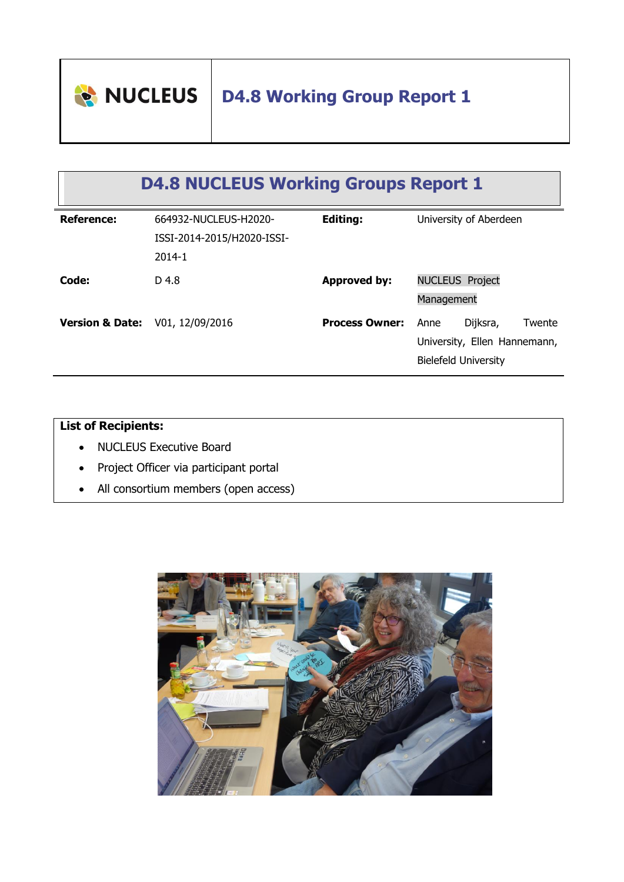

# **D4.8 Working Group Report 1**

# **D4.8 NUCLEUS Working Groups Report 1**

| <b>Reference:</b>          | 664932-NUCLEUS-H2020-<br>ISSI-2014-2015/H2020-ISSI-<br>$2014 - 1$ | <b>Editing:</b>       | University of Aberdeen                                                                    |
|----------------------------|-------------------------------------------------------------------|-----------------------|-------------------------------------------------------------------------------------------|
| Code:                      | D 4.8                                                             | <b>Approved by:</b>   | <b>NUCLEUS Project</b><br>Management                                                      |
| <b>Version &amp; Date:</b> | V01, 12/09/2016                                                   | <b>Process Owner:</b> | Dijksra,<br>Twente<br>Anne<br>University, Ellen Hannemann,<br><b>Bielefeld University</b> |

## **List of Recipients:**

- NUCLEUS Executive Board
- Project Officer via participant portal
- All consortium members (open access)

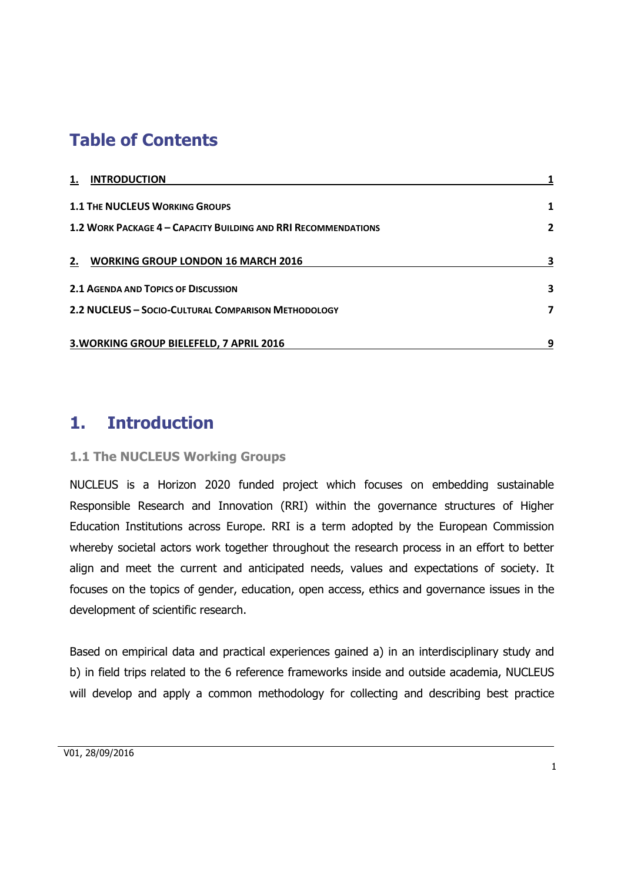## **Table of Contents**

| <b>INTRODUCTION</b><br>1.                                      |                |
|----------------------------------------------------------------|----------------|
| <b>1.1 THE NUCLEUS WORKING GROUPS</b>                          | 1              |
| 1.2 WORK PACKAGE 4 - CAPACITY BUILDING AND RRI RECOMMENDATIONS | $\overline{2}$ |
| 2. WORKING GROUP LONDON 16 MARCH 2016                          | 3              |
| <b>2.1 AGENDA AND TOPICS OF DISCUSSION</b>                     | 3              |
| 2.2 NUCLEUS - SOCIO-CULTURAL COMPARISON METHODOLOGY            | 7              |
| 3. WORKING GROUP BIELEFELD, 7 APRIL 2016                       | 9              |

## <span id="page-1-0"></span>**1. Introduction**

## <span id="page-1-1"></span>**1.1 The NUCLEUS Working Groups**

NUCLEUS is a Horizon 2020 funded project which focuses on embedding sustainable Responsible Research and Innovation (RRI) within the governance structures of Higher Education Institutions across Europe. RRI is a term adopted by the European Commission whereby societal actors work together throughout the research process in an effort to better align and meet the current and anticipated needs, values and expectations of society. It focuses on the topics of gender, education, open access, ethics and governance issues in the development of scientific research.

Based on empirical data and practical experiences gained a) in an interdisciplinary study and b) in field trips related to the 6 reference frameworks inside and outside academia, NUCLEUS will develop and apply a common methodology for collecting and describing best practice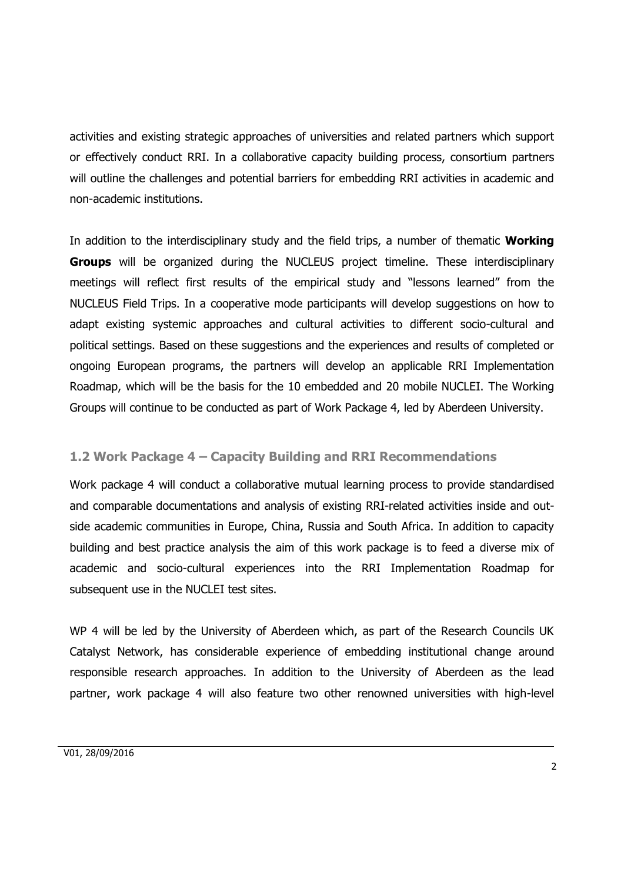activities and existing strategic approaches of universities and related partners which support or effectively conduct RRI. In a collaborative capacity building process, consortium partners will outline the challenges and potential barriers for embedding RRI activities in academic and non-academic institutions.

In addition to the interdisciplinary study and the field trips, a number of thematic **Working Groups** will be organized during the NUCLEUS project timeline. These interdisciplinary meetings will reflect first results of the empirical study and "lessons learned" from the NUCLEUS Field Trips. In a cooperative mode participants will develop suggestions on how to adapt existing systemic approaches and cultural activities to different socio-cultural and political settings. Based on these suggestions and the experiences and results of completed or ongoing European programs, the partners will develop an applicable RRI Implementation Roadmap, which will be the basis for the 10 embedded and 20 mobile NUCLEI. The Working Groups will continue to be conducted as part of Work Package 4, led by Aberdeen University.

#### <span id="page-2-0"></span>**1.2 Work Package 4 – Capacity Building and RRI Recommendations**

Work package 4 will conduct a collaborative mutual learning process to provide standardised and comparable documentations and analysis of existing RRI-related activities inside and outside academic communities in Europe, China, Russia and South Africa. In addition to capacity building and best practice analysis the aim of this work package is to feed a diverse mix of academic and socio-cultural experiences into the RRI Implementation Roadmap for subsequent use in the NUCLEI test sites.

WP 4 will be led by the University of Aberdeen which, as part of the Research Councils UK Catalyst Network, has considerable experience of embedding institutional change around responsible research approaches. In addition to the University of Aberdeen as the lead partner, work package 4 will also feature two other renowned universities with high-level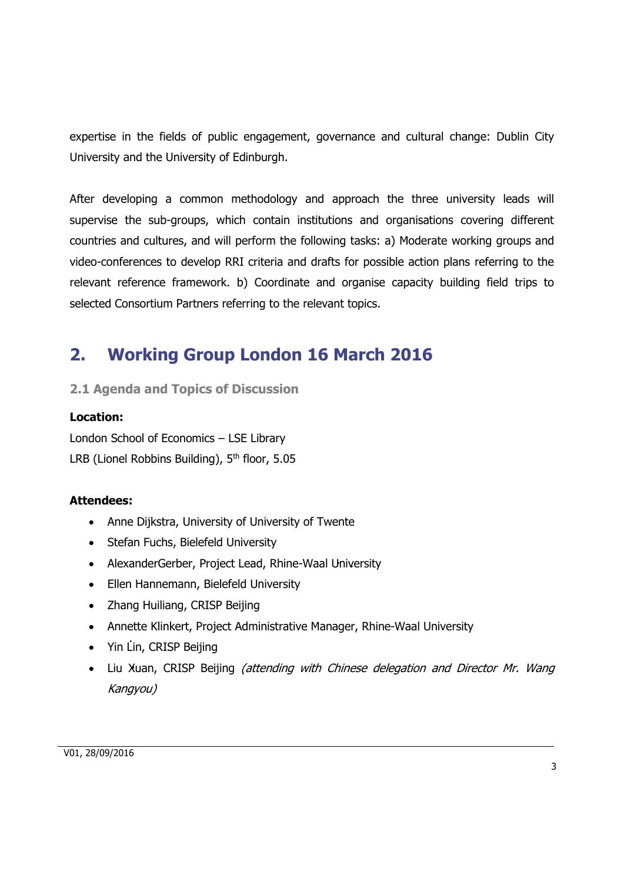expertise in the fields of public engagement, governance and cultural change: Dublin City University and the University of Edinburgh.

After developing a common methodology and approach the three university leads will supervise the sub-groups, which contain institutions and organisations covering different countries and cultures, and will perform the following tasks: a) Moderate working groups and video-conferences to develop RRI criteria and drafts for possible action plans referring to the relevant reference framework. b) Coordinate and organise capacity building field trips to selected Consortium Partners referring to the relevant topics.

## <span id="page-3-0"></span>**2. Working Group London 16 March 2016**

<span id="page-3-1"></span>**2.1 Agenda and Topics of Discussion** 

#### **Location:**

London School of Economics – LSE Library LRB (Lionel Robbins Building), 5<sup>th</sup> floor, 5.05

#### **Attendees:**

- Anne Dijkstra, University of University of Twente
- Stefan Fuchs, Bielefeld University
- AlexanderGerber, Project Lead, Rhine-Waal University
- Ellen Hannemann, Bielefeld University
- Zhang Huiliang, CRISP Beijing
- Annette Klinkert, Project Administrative Manager, Rhine-Waal University
- Yin Lin, CRISP Beijing
- Liu Xuan, CRISP Beijing *(attending with Chinese delegation and Director Mr. Wang* Kangyou)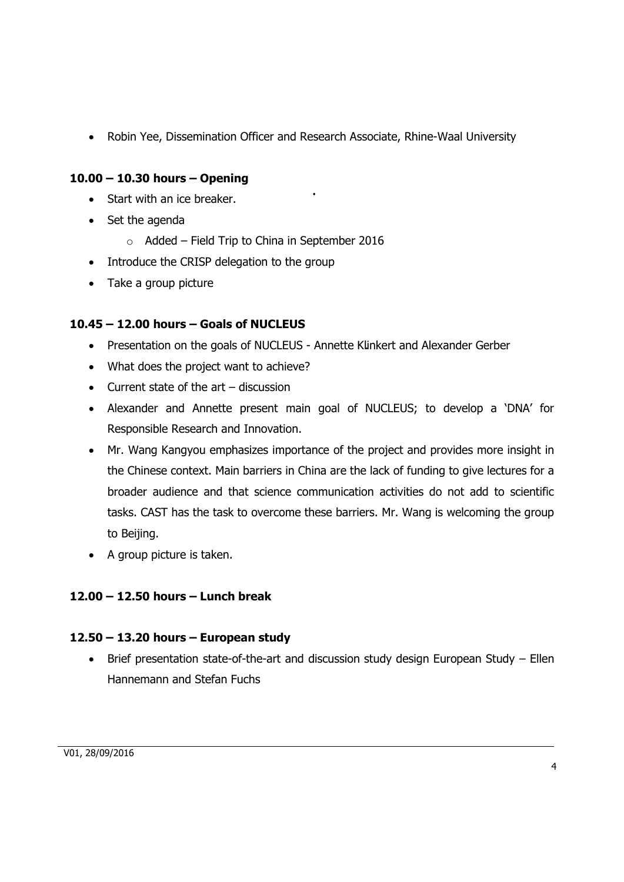Robin Yee, Dissemination Officer and Research Associate, Rhine-Waal University

## **10.00 – 10.30 hours – Opening**

- Start with an ice breaker.
- $\bullet$  Set the agenda
	- $\circ$  Added Field Trip to China in September 2016
- Introduce the CRISP delegation to the group
- Take a group picture

#### **10.45 – 12.00 hours – Goals of NUCLEUS**

- Presentation on the goals of NUCLEUS Annette Klinkert and Alexander Gerber
- What does the project want to achieve?
- Current state of the art discussion
- Alexander and Annette present main goal of NUCLEUS; to develop a 'DNA' for Responsible Research and Innovation.
- Mr. Wang Kangyou emphasizes importance of the project and provides more insight in the Chinese context. Main barriers in China are the lack of funding to give lectures for a broader audience and that science communication activities do not add to scientific tasks. CAST has the task to overcome these barriers. Mr. Wang is welcoming the group to Beijing.
- A group picture is taken.

## **12.00 – 12.50 hours – Lunch break**

#### **12.50 – 13.20 hours – European study**

 Brief presentation state-of-the-art and discussion study design European Study – Ellen Hannemann and Stefan Fuchs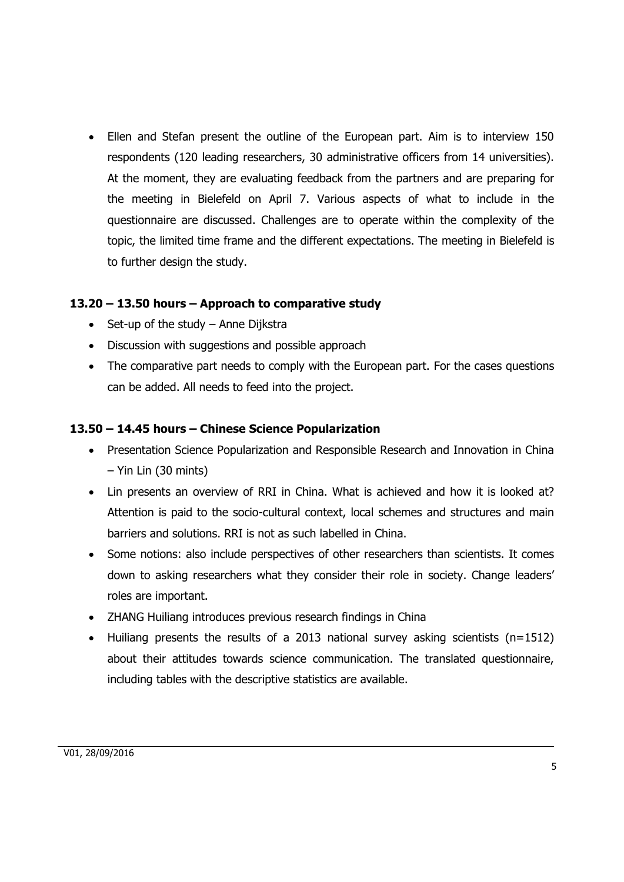Ellen and Stefan present the outline of the European part. Aim is to interview 150 respondents (120 leading researchers, 30 administrative officers from 14 universities). At the moment, they are evaluating feedback from the partners and are preparing for the meeting in Bielefeld on April 7. Various aspects of what to include in the questionnaire are discussed. Challenges are to operate within the complexity of the topic, the limited time frame and the different expectations. The meeting in Bielefeld is to further design the study.

#### **13.20 – 13.50 hours – Approach to comparative study**

- $\bullet$  Set-up of the study Anne Dijkstra
- Discussion with suggestions and possible approach
- The comparative part needs to comply with the European part. For the cases questions can be added. All needs to feed into the project.

#### **13.50 – 14.45 hours – Chinese Science Popularization**

- Presentation Science Popularization and Responsible Research and Innovation in China – Yin Lin (30 mints)
- Lin presents an overview of RRI in China. What is achieved and how it is looked at? Attention is paid to the socio-cultural context, local schemes and structures and main barriers and solutions. RRI is not as such labelled in China.
- Some notions: also include perspectives of other researchers than scientists. It comes down to asking researchers what they consider their role in society. Change leaders' roles are important.
- ZHANG Huiliang introduces previous research findings in China
- Huiliang presents the results of a 2013 national survey asking scientists (n=1512) about their attitudes towards science communication. The translated questionnaire, including tables with the descriptive statistics are available.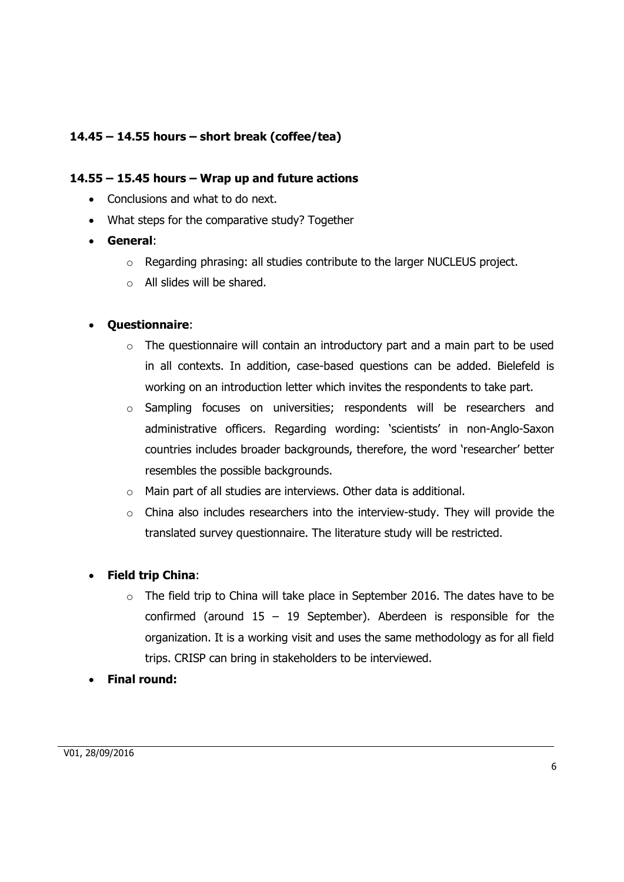## **14.45 – 14.55 hours – short break (coffee/tea)**

#### **14.55 – 15.45 hours – Wrap up and future actions**

- Conclusions and what to do next.
- What steps for the comparative study? Together
- **General**:
	- o Regarding phrasing: all studies contribute to the larger NUCLEUS project.
	- o All slides will be shared.

#### **Questionnaire**:

- o The questionnaire will contain an introductory part and a main part to be used in all contexts. In addition, case-based questions can be added. Bielefeld is working on an introduction letter which invites the respondents to take part.
- o Sampling focuses on universities; respondents will be researchers and administrative officers. Regarding wording: 'scientists' in non-Anglo-Saxon countries includes broader backgrounds, therefore, the word 'researcher' better resembles the possible backgrounds.
- o Main part of all studies are interviews. Other data is additional.
- o China also includes researchers into the interview-study. They will provide the translated survey questionnaire. The literature study will be restricted.

## **Field trip China**:

- $\circ$  The field trip to China will take place in September 2016. The dates have to be confirmed (around  $15 - 19$  September). Aberdeen is responsible for the organization. It is a working visit and uses the same methodology as for all field trips. CRISP can bring in stakeholders to be interviewed.
- **Final round:**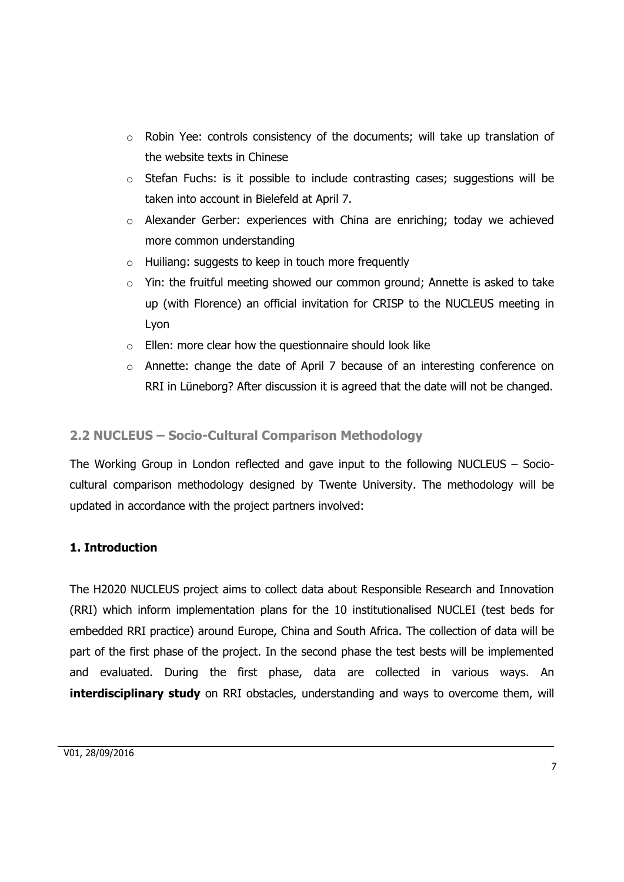- o Robin Yee: controls consistency of the documents; will take up translation of the website texts in Chinese
- o Stefan Fuchs: is it possible to include contrasting cases; suggestions will be taken into account in Bielefeld at April 7.
- o Alexander Gerber: experiences with China are enriching; today we achieved more common understanding
- o Huiliang: suggests to keep in touch more frequently
- $\circ$  Yin: the fruitful meeting showed our common ground; Annette is asked to take up (with Florence) an official invitation for CRISP to the NUCLEUS meeting in Lyon
- $\circ$  Ellen: more clear how the questionnaire should look like
- o Annette: change the date of April 7 because of an interesting conference on RRI in Lüneborg? After discussion it is agreed that the date will not be changed.

## <span id="page-7-0"></span>**2.2 NUCLEUS – Socio-Cultural Comparison Methodology**

The Working Group in London reflected and gave input to the following NUCLEUS – Sociocultural comparison methodology designed by Twente University. The methodology will be updated in accordance with the project partners involved:

## **1. Introduction**

The H2020 NUCLEUS project aims to collect data about Responsible Research and Innovation (RRI) which inform implementation plans for the 10 institutionalised NUCLEI (test beds for embedded RRI practice) around Europe, China and South Africa. The collection of data will be part of the first phase of the project. In the second phase the test bests will be implemented and evaluated. During the first phase, data are collected in various ways. An **interdisciplinary study** on RRI obstacles, understanding and ways to overcome them, will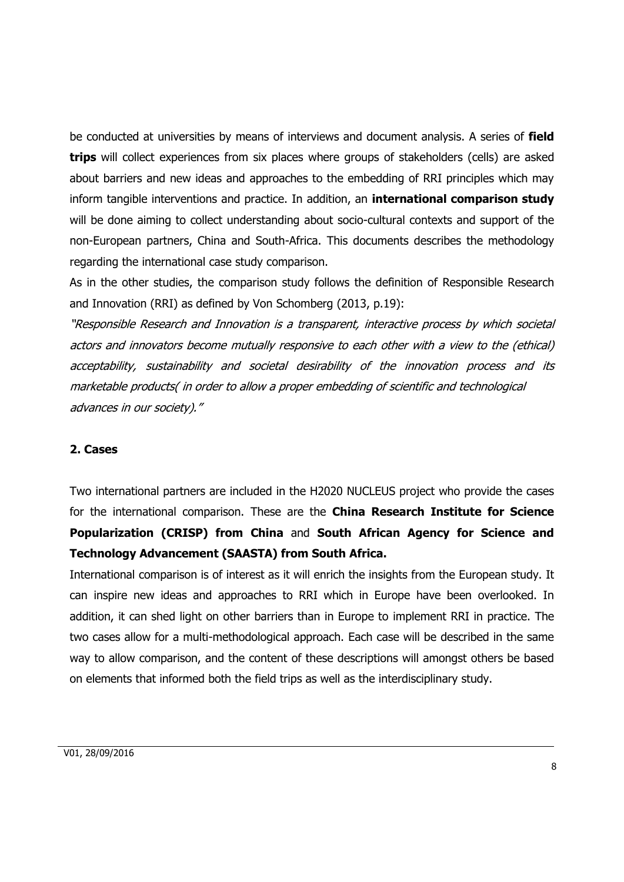be conducted at universities by means of interviews and document analysis. A series of **field trips** will collect experiences from six places where groups of stakeholders (cells) are asked about barriers and new ideas and approaches to the embedding of RRI principles which may inform tangible interventions and practice. In addition, an **international comparison study**  will be done aiming to collect understanding about socio-cultural contexts and support of the non-European partners, China and South-Africa. This documents describes the methodology regarding the international case study comparison.

As in the other studies, the comparison study follows the definition of Responsible Research and Innovation (RRI) as defined by Von Schomberg (2013, p.19):

"Responsible Research and Innovation is a transparent, interactive process by which societal actors and innovators become mutually responsive to each other with a view to the (ethical) acceptability, sustainability and societal desirability of the innovation process and its marketable products( in order to allow a proper embedding of scientific and technological advances in our society)."

#### **2. Cases**

Two international partners are included in the H2020 NUCLEUS project who provide the cases for the international comparison. These are the **China Research Institute for Science Popularization (CRISP) from China** and **South African Agency for Science and Technology Advancement (SAASTA) from South Africa.** 

International comparison is of interest as it will enrich the insights from the European study. It can inspire new ideas and approaches to RRI which in Europe have been overlooked. In addition, it can shed light on other barriers than in Europe to implement RRI in practice. The two cases allow for a multi-methodological approach. Each case will be described in the same way to allow comparison, and the content of these descriptions will amongst others be based on elements that informed both the field trips as well as the interdisciplinary study.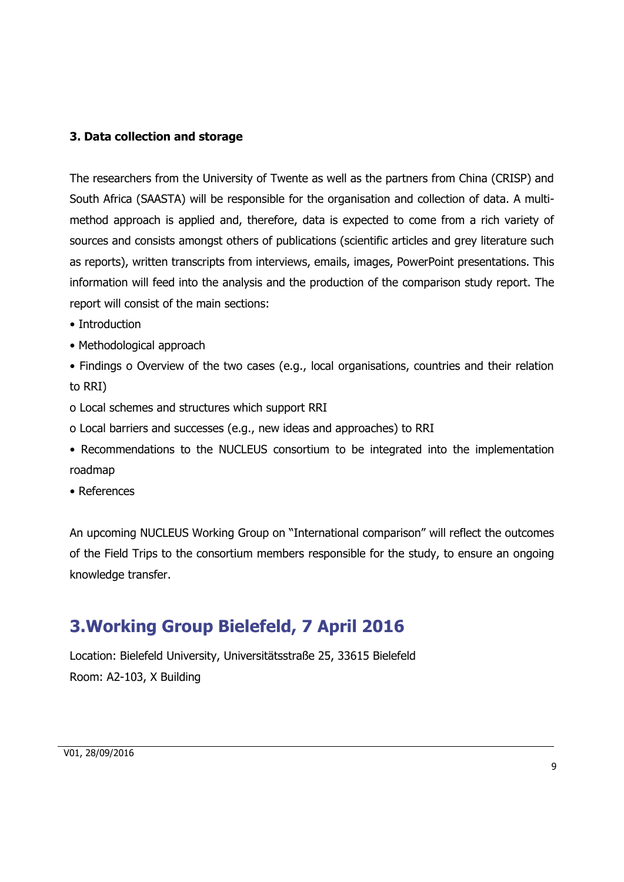#### **3. Data collection and storage**

The researchers from the University of Twente as well as the partners from China (CRISP) and South Africa (SAASTA) will be responsible for the organisation and collection of data. A multimethod approach is applied and, therefore, data is expected to come from a rich variety of sources and consists amongst others of publications (scientific articles and grey literature such as reports), written transcripts from interviews, emails, images, PowerPoint presentations. This information will feed into the analysis and the production of the comparison study report. The report will consist of the main sections:

- Introduction
- Methodological approach
- Findings o Overview of the two cases (e.g., local organisations, countries and their relation to RRI)
- o Local schemes and structures which support RRI
- o Local barriers and successes (e.g., new ideas and approaches) to RRI
- Recommendations to the NUCLEUS consortium to be integrated into the implementation roadmap
- References

An upcoming NUCLEUS Working Group on "International comparison" will reflect the outcomes of the Field Trips to the consortium members responsible for the study, to ensure an ongoing knowledge transfer.

## <span id="page-9-0"></span>**3.Working Group Bielefeld, 7 April 2016**

Location: Bielefeld University, Universitätsstraße 25, 33615 Bielefeld Room: A2-103, X Building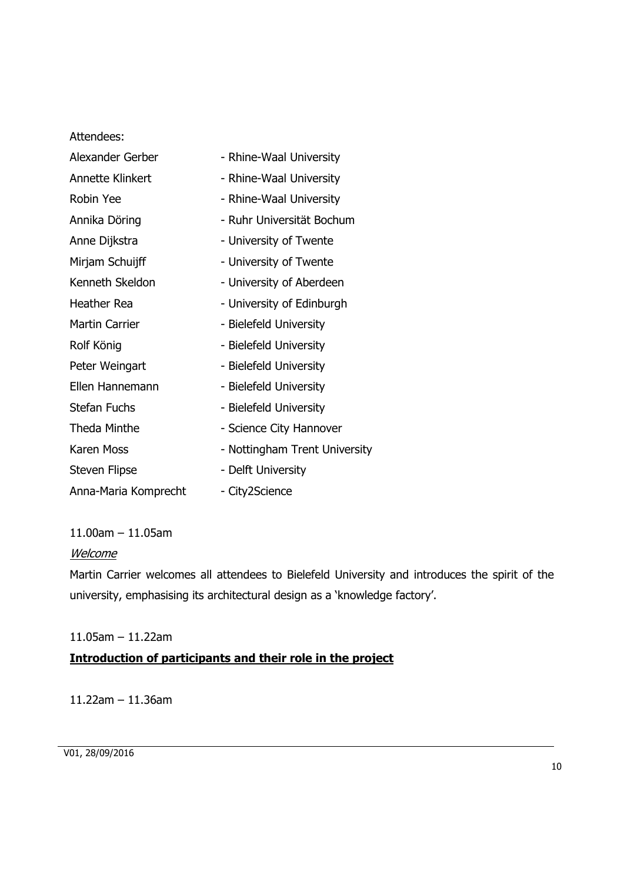Attendees:

| Alexander Gerber        | - Rhine-Waal University       |
|-------------------------|-------------------------------|
| <b>Annette Klinkert</b> | - Rhine-Waal University       |
| Robin Yee               | - Rhine-Waal University       |
| Annika Döring           | - Ruhr Universität Bochum     |
| Anne Dijkstra           | - University of Twente        |
| Mirjam Schuijff         | - University of Twente        |
| Kenneth Skeldon         | - University of Aberdeen      |
| <b>Heather Rea</b>      | - University of Edinburgh     |
| <b>Martin Carrier</b>   | - Bielefeld University        |
| Rolf König              | - Bielefeld University        |
| Peter Weingart          | - Bielefeld University        |
| Ellen Hannemann         | - Bielefeld University        |
| <b>Stefan Fuchs</b>     | - Bielefeld University        |
| Theda Minthe            | - Science City Hannover       |
| Karen Moss              | - Nottingham Trent University |
| <b>Steven Flipse</b>    | - Delft University            |
| Anna-Maria Komprecht    | - City2Science                |

11.00am – 11.05am

#### Welcome

Martin Carrier welcomes all attendees to Bielefeld University and introduces the spirit of the university, emphasising its architectural design as a 'knowledge factory'.

#### 11.05am – 11.22am

## **Introduction of participants and their role in the project**

11.22am – 11.36am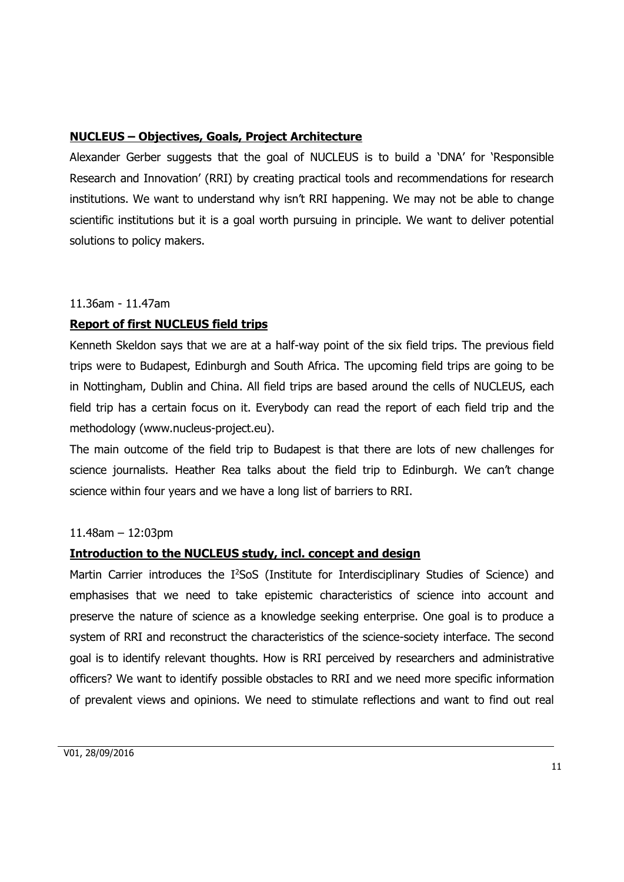#### **NUCLEUS – Objectives, Goals, Project Architecture**

Alexander Gerber suggests that the goal of NUCLEUS is to build a 'DNA' for 'Responsible Research and Innovation' (RRI) by creating practical tools and recommendations for research institutions. We want to understand why isn't RRI happening. We may not be able to change scientific institutions but it is a goal worth pursuing in principle. We want to deliver potential solutions to policy makers.

#### 11.36am - 11.47am

#### **Report of first NUCLEUS field trips**

Kenneth Skeldon says that we are at a half-way point of the six field trips. The previous field trips were to Budapest, Edinburgh and South Africa. The upcoming field trips are going to be in Nottingham, Dublin and China. All field trips are based around the cells of NUCLEUS, each field trip has a certain focus on it. Everybody can read the report of each field trip and the methodology (www.nucleus-project.eu).

The main outcome of the field trip to Budapest is that there are lots of new challenges for science journalists. Heather Rea talks about the field trip to Edinburgh. We can't change science within four years and we have a long list of barriers to RRI.

#### 11.48am – 12:03pm

#### **Introduction to the NUCLEUS study, incl. concept and design**

Martin Carrier introduces the I<sup>2</sup>SoS (Institute for Interdisciplinary Studies of Science) and emphasises that we need to take epistemic characteristics of science into account and preserve the nature of science as a knowledge seeking enterprise. One goal is to produce a system of RRI and reconstruct the characteristics of the science-society interface. The second goal is to identify relevant thoughts. How is RRI perceived by researchers and administrative officers? We want to identify possible obstacles to RRI and we need more specific information of prevalent views and opinions. We need to stimulate reflections and want to find out real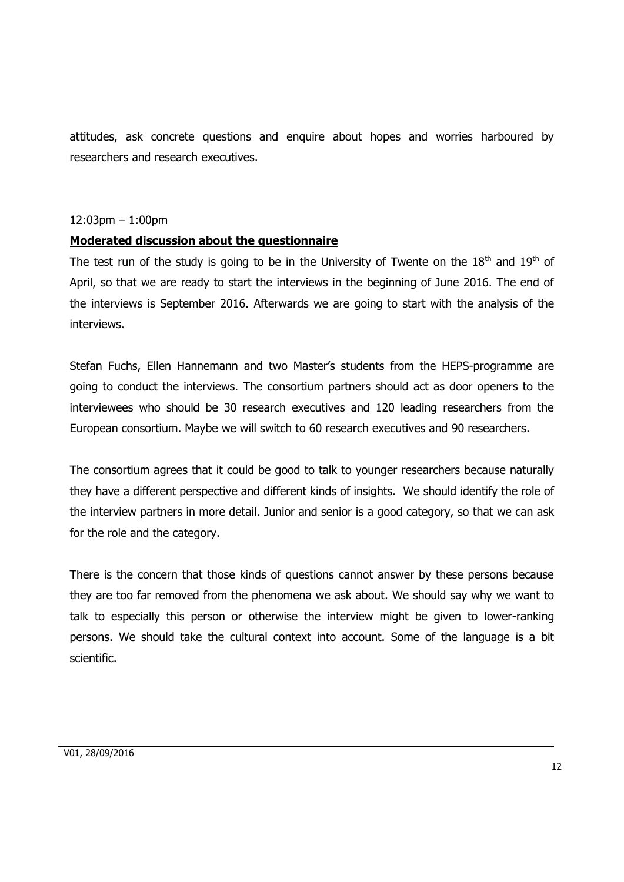attitudes, ask concrete questions and enquire about hopes and worries harboured by researchers and research executives.

#### 12:03pm – 1:00pm

#### **Moderated discussion about the questionnaire**

The test run of the study is going to be in the University of Twente on the  $18<sup>th</sup>$  and  $19<sup>th</sup>$  of April, so that we are ready to start the interviews in the beginning of June 2016. The end of the interviews is September 2016. Afterwards we are going to start with the analysis of the interviews.

Stefan Fuchs, Ellen Hannemann and two Master's students from the HEPS-programme are going to conduct the interviews. The consortium partners should act as door openers to the interviewees who should be 30 research executives and 120 leading researchers from the European consortium. Maybe we will switch to 60 research executives and 90 researchers.

The consortium agrees that it could be good to talk to younger researchers because naturally they have a different perspective and different kinds of insights. We should identify the role of the interview partners in more detail. Junior and senior is a good category, so that we can ask for the role and the category.

There is the concern that those kinds of questions cannot answer by these persons because they are too far removed from the phenomena we ask about. We should say why we want to talk to especially this person or otherwise the interview might be given to lower-ranking persons. We should take the cultural context into account. Some of the language is a bit scientific.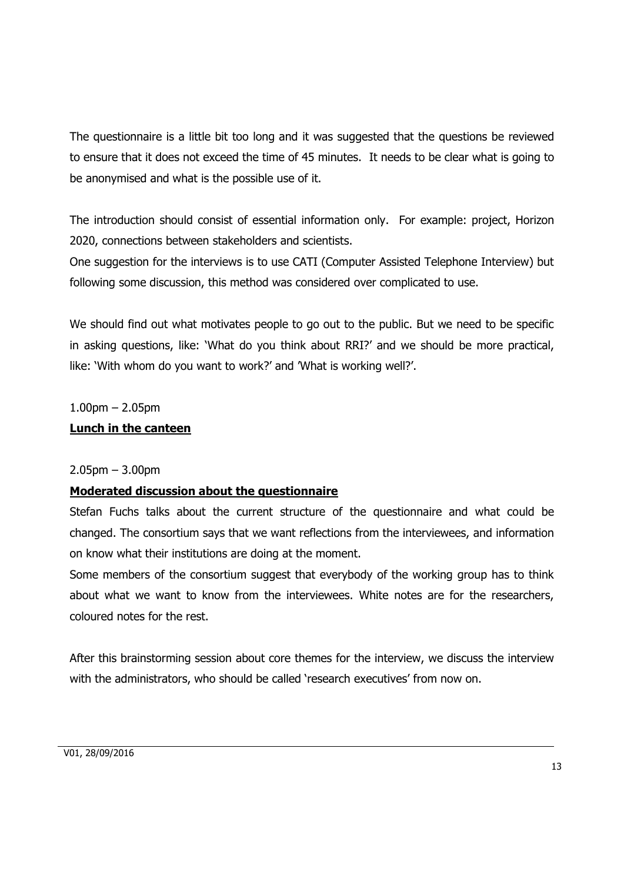The questionnaire is a little bit too long and it was suggested that the questions be reviewed to ensure that it does not exceed the time of 45 minutes. It needs to be clear what is going to be anonymised and what is the possible use of it.

The introduction should consist of essential information only. For example: project, Horizon 2020, connections between stakeholders and scientists.

One suggestion for the interviews is to use CATI (Computer Assisted Telephone Interview) but following some discussion, this method was considered over complicated to use.

We should find out what motivates people to go out to the public. But we need to be specific in asking questions, like: 'What do you think about RRI?' and we should be more practical, like: 'With whom do you want to work?' and 'What is working well?'.

#### $1.00$ pm – 2.05pm

#### **Lunch in the canteen**

#### 2.05pm – 3.00pm

#### **Moderated discussion about the questionnaire**

Stefan Fuchs talks about the current structure of the questionnaire and what could be changed. The consortium says that we want reflections from the interviewees, and information on know what their institutions are doing at the moment.

Some members of the consortium suggest that everybody of the working group has to think about what we want to know from the interviewees. White notes are for the researchers, coloured notes for the rest.

After this brainstorming session about core themes for the interview, we discuss the interview with the administrators, who should be called 'research executives' from now on.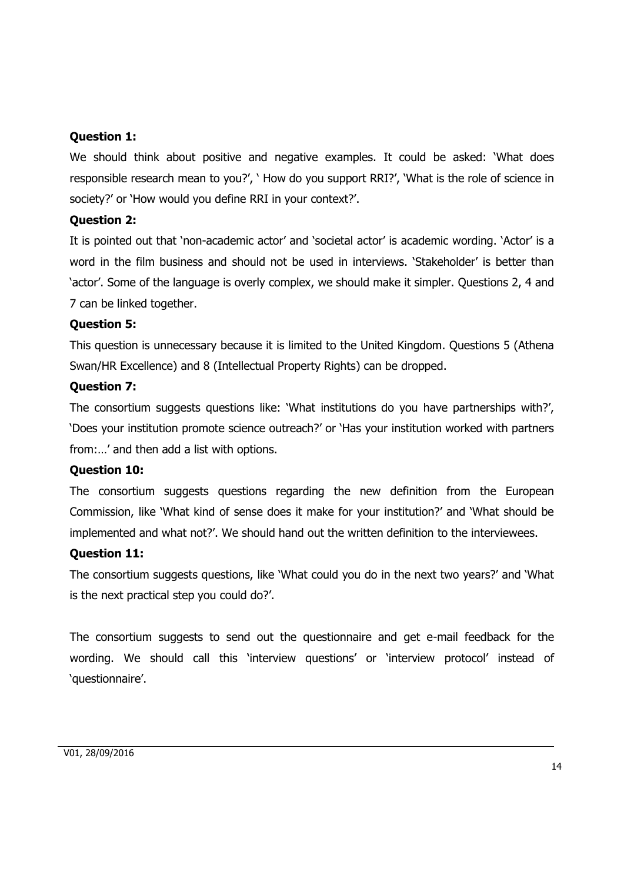#### **Question 1:**

We should think about positive and negative examples. It could be asked: 'What does responsible research mean to you?', ' How do you support RRI?', 'What is the role of science in society?' or 'How would you define RRI in your context?'.

#### **Question 2:**

It is pointed out that 'non-academic actor' and 'societal actor' is academic wording. 'Actor' is a word in the film business and should not be used in interviews. 'Stakeholder' is better than 'actor'. Some of the language is overly complex, we should make it simpler. Questions 2, 4 and 7 can be linked together.

#### **Question 5:**

This question is unnecessary because it is limited to the United Kingdom. Questions 5 (Athena Swan/HR Excellence) and 8 (Intellectual Property Rights) can be dropped.

#### **Question 7:**

The consortium suggests questions like: 'What institutions do you have partnerships with?', 'Does your institution promote science outreach?' or 'Has your institution worked with partners from:…' and then add a list with options.

#### **Question 10:**

The consortium suggests questions regarding the new definition from the European Commission, like 'What kind of sense does it make for your institution?' and 'What should be implemented and what not?'. We should hand out the written definition to the interviewees.

#### **Question 11:**

The consortium suggests questions, like 'What could you do in the next two years?' and 'What is the next practical step you could do?'.

The consortium suggests to send out the questionnaire and get e-mail feedback for the wording. We should call this 'interview questions' or 'interview protocol' instead of 'questionnaire'.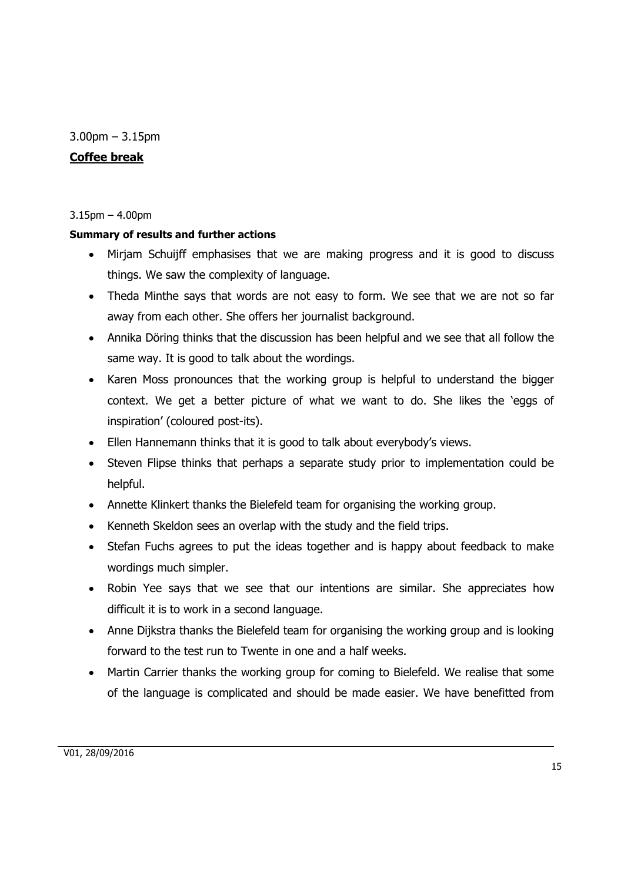3.00pm – 3.15pm

### **Coffee break**

#### 3.15pm – 4.00pm

#### **Summary of results and further actions**

- Mirjam Schuijff emphasises that we are making progress and it is good to discuss things. We saw the complexity of language.
- Theda Minthe says that words are not easy to form. We see that we are not so far away from each other. She offers her journalist background.
- Annika Döring thinks that the discussion has been helpful and we see that all follow the same way. It is good to talk about the wordings.
- Karen Moss pronounces that the working group is helpful to understand the bigger context. We get a better picture of what we want to do. She likes the 'eggs of inspiration' (coloured post-its).
- Ellen Hannemann thinks that it is good to talk about everybody's views.
- Steven Flipse thinks that perhaps a separate study prior to implementation could be helpful.
- Annette Klinkert thanks the Bielefeld team for organising the working group.
- Kenneth Skeldon sees an overlap with the study and the field trips.
- Stefan Fuchs agrees to put the ideas together and is happy about feedback to make wordings much simpler.
- Robin Yee says that we see that our intentions are similar. She appreciates how difficult it is to work in a second language.
- Anne Dijkstra thanks the Bielefeld team for organising the working group and is looking forward to the test run to Twente in one and a half weeks.
- Martin Carrier thanks the working group for coming to Bielefeld. We realise that some of the language is complicated and should be made easier. We have benefitted from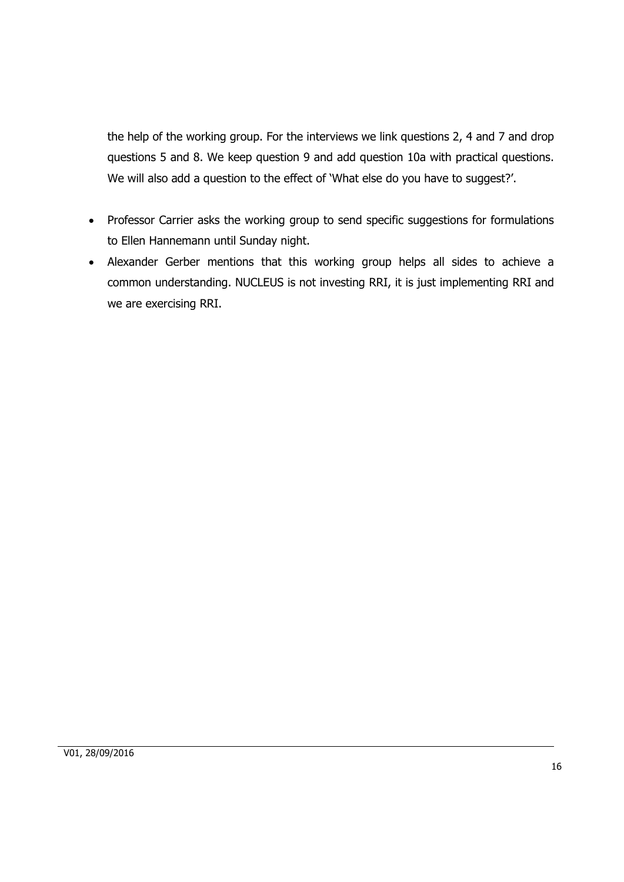the help of the working group. For the interviews we link questions 2, 4 and 7 and drop questions 5 and 8. We keep question 9 and add question 10a with practical questions. We will also add a question to the effect of 'What else do you have to suggest?'.

- Professor Carrier asks the working group to send specific suggestions for formulations to Ellen Hannemann until Sunday night.
- Alexander Gerber mentions that this working group helps all sides to achieve a common understanding. NUCLEUS is not investing RRI, it is just implementing RRI and we are exercising RRI.